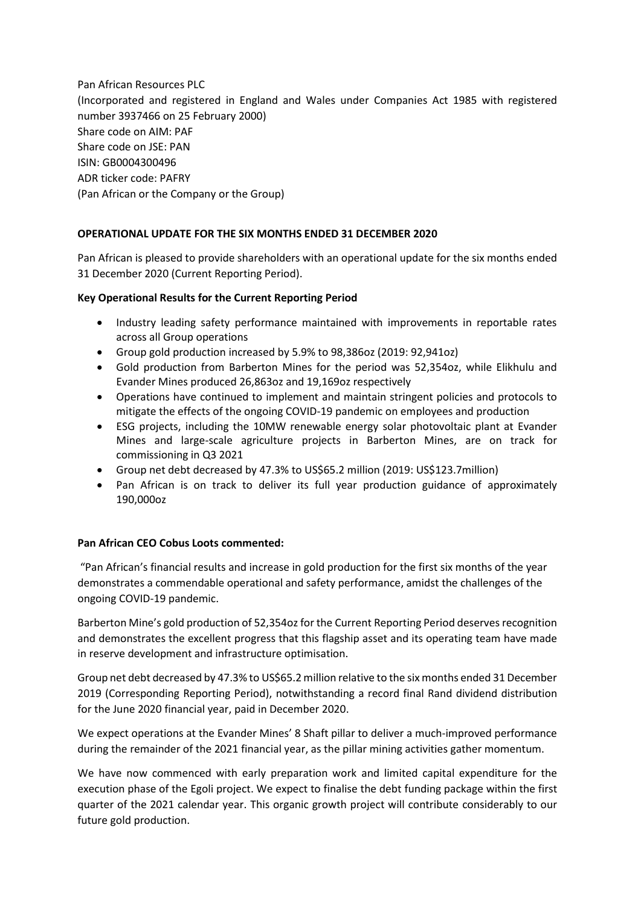Pan African Resources PLC (Incorporated and registered in England and Wales under Companies Act 1985 with registered number 3937466 on 25 February 2000) Share code on AIM: PAF Share code on JSE: PAN ISIN: GB0004300496 ADR ticker code: PAFRY (Pan African or the Company or the Group)

# **OPERATIONAL UPDATE FOR THE SIX MONTHS ENDED 31 DECEMBER 2020**

Pan African is pleased to provide shareholders with an operational update for the six months ended 31 December 2020 (Current Reporting Period).

## **Key Operational Results for the Current Reporting Period**

- Industry leading safety performance maintained with improvements in reportable rates across all Group operations
- Group gold production increased by 5.9% to 98,386oz (2019: 92,941oz)
- Gold production from Barberton Mines for the period was 52,354oz, while Elikhulu and Evander Mines produced 26,863oz and 19,169oz respectively
- Operations have continued to implement and maintain stringent policies and protocols to mitigate the effects of the ongoing COVID-19 pandemic on employees and production
- ESG projects, including the 10MW renewable energy solar photovoltaic plant at Evander Mines and large-scale agriculture projects in Barberton Mines, are on track for commissioning in Q3 2021
- Group net debt decreased by 47.3% to US\$65.2 million (2019: US\$123.7million)
- Pan African is on track to deliver its full year production guidance of approximately 190,000oz

## **Pan African CEO Cobus Loots commented:**

"Pan African's financial results and increase in gold production for the first six months of the year demonstrates a commendable operational and safety performance, amidst the challenges of the ongoing COVID-19 pandemic.

Barberton Mine's gold production of 52,354oz for the Current Reporting Period deserves recognition and demonstrates the excellent progress that this flagship asset and its operating team have made in reserve development and infrastructure optimisation.

Group net debt decreased by 47.3% to US\$65.2 million relative to the six months ended 31 December 2019 (Corresponding Reporting Period), notwithstanding a record final Rand dividend distribution for the June 2020 financial year, paid in December 2020.

We expect operations at the Evander Mines' 8 Shaft pillar to deliver a much-improved performance during the remainder of the 2021 financial year, as the pillar mining activities gather momentum.

We have now commenced with early preparation work and limited capital expenditure for the execution phase of the Egoli project. We expect to finalise the debt funding package within the first quarter of the 2021 calendar year. This organic growth project will contribute considerably to our future gold production.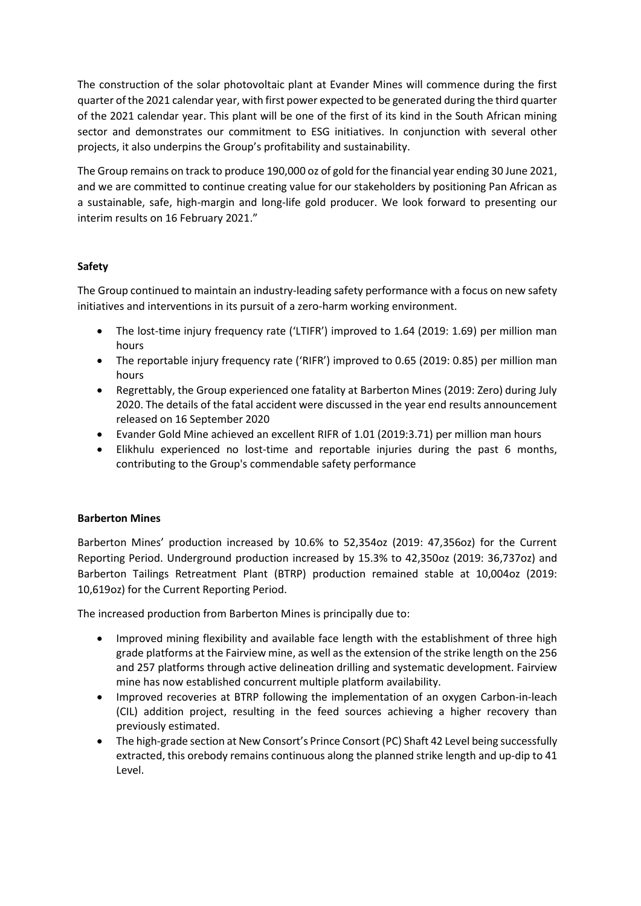The construction of the solar photovoltaic plant at Evander Mines will commence during the first quarter of the 2021 calendar year, with first power expected to be generated during the third quarter of the 2021 calendar year. This plant will be one of the first of its kind in the South African mining sector and demonstrates our commitment to ESG initiatives. In conjunction with several other projects, it also underpins the Group's profitability and sustainability.

The Group remains on track to produce 190,000 oz of gold for the financial year ending 30 June 2021, and we are committed to continue creating value for our stakeholders by positioning Pan African as a sustainable, safe, high-margin and long-life gold producer. We look forward to presenting our interim results on 16 February 2021."

# **Safety**

The Group continued to maintain an industry-leading safety performance with a focus on new safety initiatives and interventions in its pursuit of a zero-harm working environment.

- The lost-time injury frequency rate ('LTIFR') improved to 1.64 (2019: 1.69) per million man hours
- The reportable injury frequency rate ('RIFR') improved to 0.65 (2019: 0.85) per million man hours
- Regrettably, the Group experienced one fatality at Barberton Mines (2019: Zero) during July 2020. The details of the fatal accident were discussed in the year end results announcement released on 16 September 2020
- Evander Gold Mine achieved an excellent RIFR of 1.01 (2019:3.71) per million man hours
- Elikhulu experienced no lost-time and reportable injuries during the past 6 months, contributing to the Group's commendable safety performance

# **Barberton Mines**

Barberton Mines' production increased by 10.6% to 52,354oz (2019: 47,356oz) for the Current Reporting Period. Underground production increased by 15.3% to 42,350oz (2019: 36,737oz) and Barberton Tailings Retreatment Plant (BTRP) production remained stable at 10,004oz (2019: 10,619oz) for the Current Reporting Period.

The increased production from Barberton Mines is principally due to:

- Improved mining flexibility and available face length with the establishment of three high grade platforms at the Fairview mine, as well as the extension of the strike length on the 256 and 257 platforms through active delineation drilling and systematic development. Fairview mine has now established concurrent multiple platform availability.
- Improved recoveries at BTRP following the implementation of an oxygen Carbon-in-leach (CIL) addition project, resulting in the feed sources achieving a higher recovery than previously estimated.
- The high-grade section at New Consort's Prince Consort (PC) Shaft 42 Level being successfully extracted, this orebody remains continuous along the planned strike length and up-dip to 41 Level.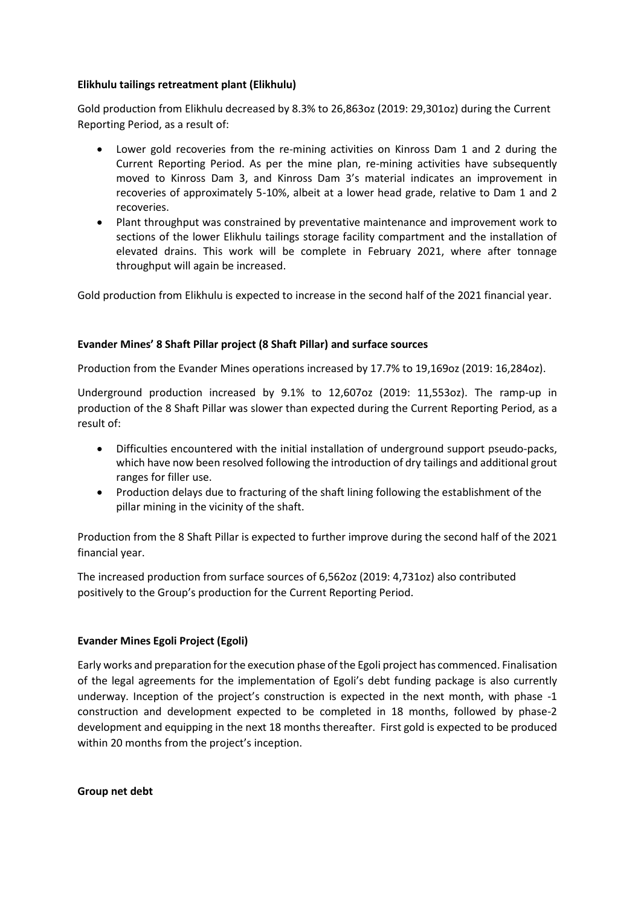## **Elikhulu tailings retreatment plant (Elikhulu)**

Gold production from Elikhulu decreased by 8.3% to 26,863oz (2019: 29,301oz) during the Current Reporting Period, as a result of:

- Lower gold recoveries from the re-mining activities on Kinross Dam 1 and 2 during the Current Reporting Period. As per the mine plan, re-mining activities have subsequently moved to Kinross Dam 3, and Kinross Dam 3's material indicates an improvement in recoveries of approximately 5-10%, albeit at a lower head grade, relative to Dam 1 and 2 recoveries.
- Plant throughput was constrained by preventative maintenance and improvement work to sections of the lower Elikhulu tailings storage facility compartment and the installation of elevated drains. This work will be complete in February 2021, where after tonnage throughput will again be increased.

Gold production from Elikhulu is expected to increase in the second half of the 2021 financial year.

# **Evander Mines' 8 Shaft Pillar project (8 Shaft Pillar) and surface sources**

Production from the Evander Mines operations increased by 17.7% to 19,169oz (2019: 16,284oz).

Underground production increased by 9.1% to 12,607oz (2019: 11,553oz). The ramp-up in production of the 8 Shaft Pillar was slower than expected during the Current Reporting Period, as a result of:

- Difficulties encountered with the initial installation of underground support pseudo-packs, which have now been resolved following the introduction of dry tailings and additional grout ranges for filler use.
- Production delays due to fracturing of the shaft lining following the establishment of the pillar mining in the vicinity of the shaft.

Production from the 8 Shaft Pillar is expected to further improve during the second half of the 2021 financial year.

The increased production from surface sources of 6,562oz (2019: 4,731oz) also contributed positively to the Group's production for the Current Reporting Period.

## **Evander Mines Egoli Project (Egoli)**

Early works and preparation for the execution phase of the Egoli project has commenced. Finalisation of the legal agreements for the implementation of Egoli's debt funding package is also currently underway. Inception of the project's construction is expected in the next month, with phase -1 construction and development expected to be completed in 18 months, followed by phase-2 development and equipping in the next 18 months thereafter. First gold is expected to be produced within 20 months from the project's inception.

**Group net debt**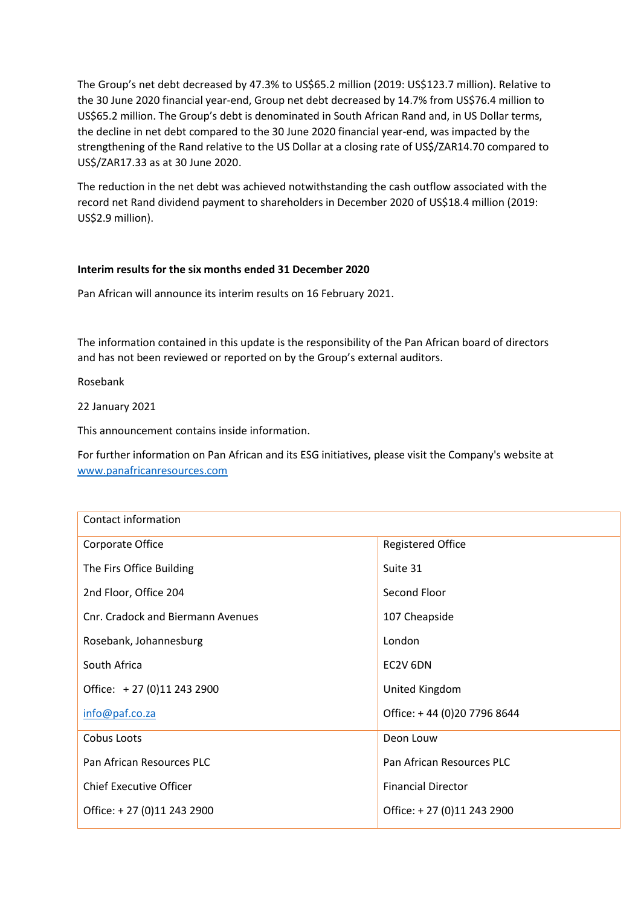The Group's net debt decreased by 47.3% to US\$65.2 million (2019: US\$123.7 million). Relative to the 30 June 2020 financial year-end, Group net debt decreased by 14.7% from US\$76.4 million to US\$65.2 million. The Group's debt is denominated in South African Rand and, in US Dollar terms, the decline in net debt compared to the 30 June 2020 financial year-end, was impacted by the strengthening of the Rand relative to the US Dollar at a closing rate of US\$/ZAR14.70 compared to US\$/ZAR17.33 as at 30 June 2020.

The reduction in the net debt was achieved notwithstanding the cash outflow associated with the record net Rand dividend payment to shareholders in December 2020 of US\$18.4 million (2019: US\$2.9 million).

## **Interim results for the six months ended 31 December 2020**

Pan African will announce its interim results on 16 February 2021.

The information contained in this update is the responsibility of the Pan African board of directors and has not been reviewed or reported on by the Group's external auditors.

Rosebank

22 January 2021

This announcement contains inside information.

For further information on Pan African and its ESG initiatives, please visit the Company's website at [www.panafricanresources.com](http://www.panafricanresources.com/)

| Contact information               |                             |
|-----------------------------------|-----------------------------|
| Corporate Office                  | <b>Registered Office</b>    |
| The Firs Office Building          | Suite 31                    |
| 2nd Floor, Office 204             | Second Floor                |
| Cnr. Cradock and Biermann Avenues | 107 Cheapside               |
| Rosebank, Johannesburg            | London                      |
| South Africa                      | EC2V 6DN                    |
| Office: +27 (0)11 243 2900        | United Kingdom              |
| info@paf.co.za                    | Office: +44 (0)20 7796 8644 |
| Cobus Loots                       | Deon Louw                   |
| Pan African Resources PLC         | Pan African Resources PLC   |
| <b>Chief Executive Officer</b>    | <b>Financial Director</b>   |
| Office: +27 (0)11 243 2900        | Office: +27 (0)11 243 2900  |